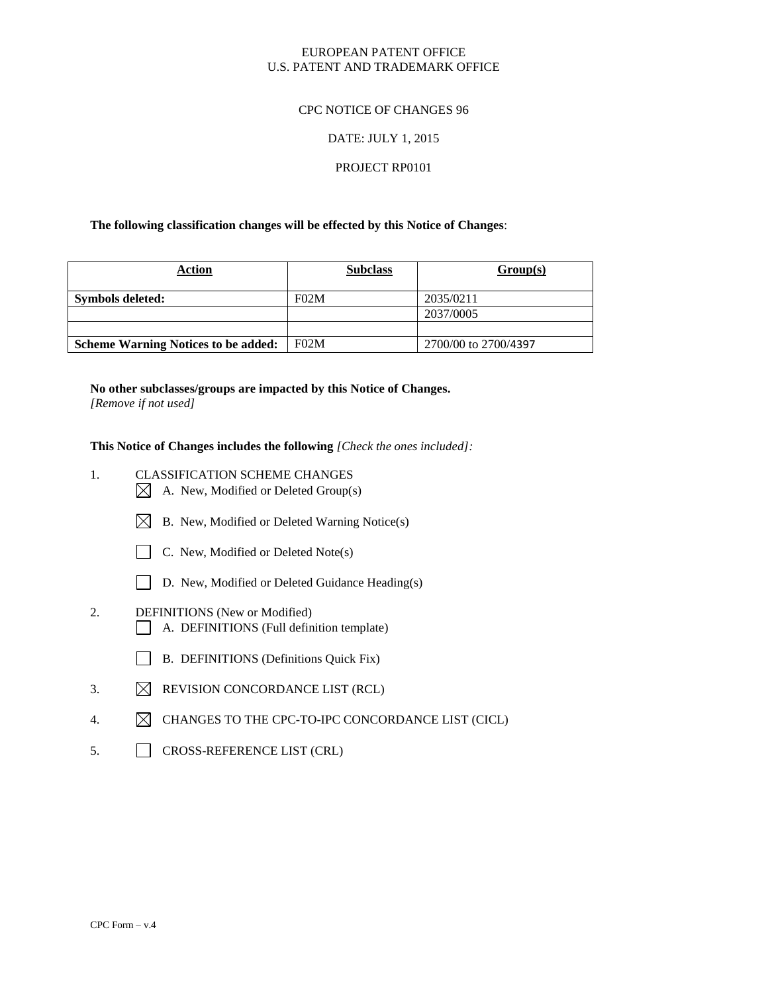## EUROPEAN PATENT OFFICE U.S. PATENT AND TRADEMARK OFFICE

## CPC NOTICE OF CHANGES 96

## DATE: JULY 1, 2015

## PROJECT RP0101

## **The following classification changes will be effected by this Notice of Changes**:

| <b>Action</b>                              | <b>Subclass</b> | Group(s)             |
|--------------------------------------------|-----------------|----------------------|
| Symbols deleted:                           | F02M            | 2035/0211            |
|                                            |                 | 2037/0005            |
|                                            |                 |                      |
| <b>Scheme Warning Notices to be added:</b> | F02M            | 2700/00 to 2700/4397 |

## **No other subclasses/groups are impacted by this Notice of Changes.**

*[Remove if not used]*

**This Notice of Changes includes the following** *[Check the ones included]:*

- 1. CLASSIFICATION SCHEME CHANGES
	- $\boxtimes$  A. New, Modified or Deleted Group(s)
	- $\boxtimes$  B. New, Modified or Deleted Warning Notice(s)



- $\Box$  C. New, Modified or Deleted Note(s)
- D. New, Modified or Deleted Guidance Heading(s)
- 2. DEFINITIONS (New or Modified) A. DEFINITIONS (Full definition template)
	- B. DEFINITIONS (Definitions Quick Fix)
- 3.  $\boxtimes$  REVISION CONCORDANCE LIST (RCL)
- 4.  $\boxtimes$  CHANGES TO THE CPC-TO-IPC CONCORDANCE LIST (CICL)
- 5. CROSS-REFERENCE LIST (CRL)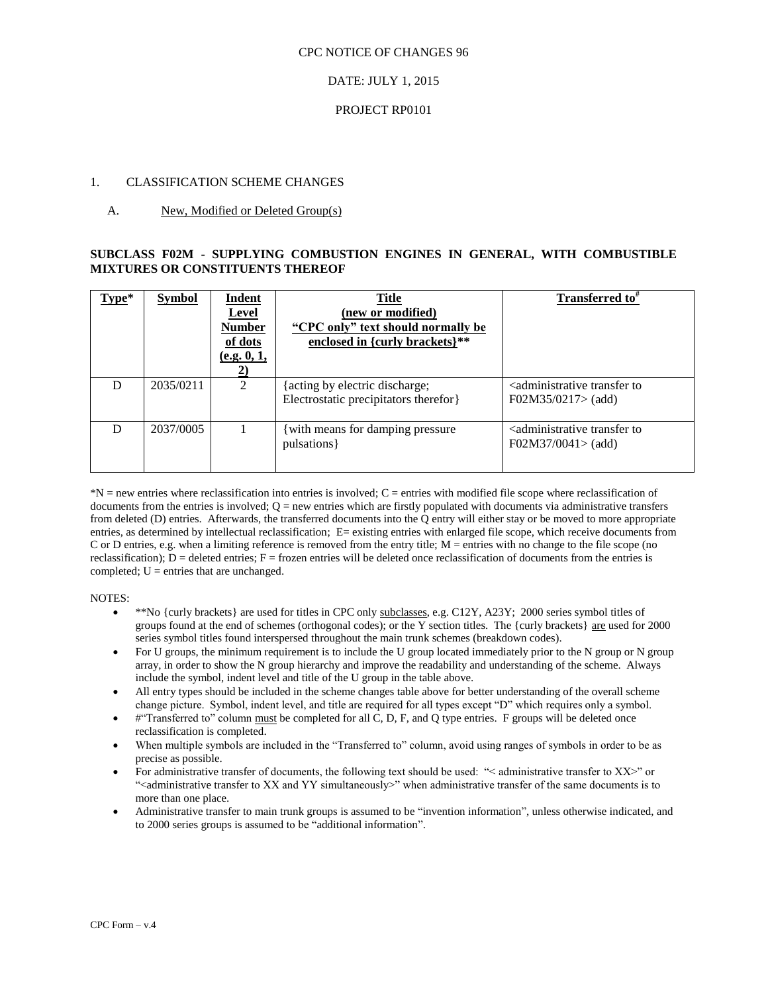## DATE: JULY 1, 2015

## PROJECT RP0101

## 1. CLASSIFICATION SCHEME CHANGES

## A. New, Modified or Deleted Group(s)

## **SUBCLASS F02M - SUPPLYING COMBUSTION ENGINES IN GENERAL, WITH COMBUSTIBLE MIXTURES OR CONSTITUENTS THEREOF**

| $Type*$ | <b>Symbol</b> | Indent<br><b>Level</b><br><b>Number</b><br>of dots<br>(e.g. 0, 1,<br>2) | <b>Title</b><br>(new or modified)<br>"CPC only" text should normally be<br>enclosed in {curly brackets}** | Transferred to <sup>*</sup>                                                         |
|---------|---------------|-------------------------------------------------------------------------|-----------------------------------------------------------------------------------------------------------|-------------------------------------------------------------------------------------|
| D       | 2035/0211     | $\mathfrak{D}$                                                          | {acting by electric discharge;<br>Electrostatic precipitators therefor }                                  | <administrative to<br="" transfer=""><math>F02M35/0217</math> add)</administrative> |
| D       | 2037/0005     |                                                                         | with means for damping pressure<br>pulsations }                                                           | <administrative to<br="" transfer="">F02M37/0041 &gt; (add)</administrative>        |

\*N = new entries where reclassification into entries is involved; C = entries with modified file scope where reclassification of documents from the entries is involved;  $Q = new$  entries which are firstly populated with documents via administrative transfers from deleted (D) entries. Afterwards, the transferred documents into the Q entry will either stay or be moved to more appropriate entries, as determined by intellectual reclassification; E= existing entries with enlarged file scope, which receive documents from C or D entries, e.g. when a limiting reference is removed from the entry title; M = entries with no change to the file scope (no reclassification);  $D =$  deleted entries;  $F =$  frozen entries will be deleted once reclassification of documents from the entries is completed;  $U =$  entries that are unchanged.

#### NOTES:

- \*\*No {curly brackets} are used for titles in CPC only subclasses, e.g. C12Y, A23Y; 2000 series symbol titles of groups found at the end of schemes (orthogonal codes); or the Y section titles. The {curly brackets} are used for 2000 series symbol titles found interspersed throughout the main trunk schemes (breakdown codes).
- For U groups, the minimum requirement is to include the U group located immediately prior to the N group or N group array, in order to show the N group hierarchy and improve the readability and understanding of the scheme. Always include the symbol, indent level and title of the U group in the table above.
- All entry types should be included in the scheme changes table above for better understanding of the overall scheme change picture. Symbol, indent level, and title are required for all types except "D" which requires only a symbol.
- #"Transferred to" column must be completed for all C, D, F, and Q type entries. F groups will be deleted once reclassification is completed.
- When multiple symbols are included in the "Transferred to" column, avoid using ranges of symbols in order to be as precise as possible.
- For administrative transfer of documents, the following text should be used: "< administrative transfer to XX>" or "<administrative transfer to XX and YY simultaneously>" when administrative transfer of the same documents is to more than one place.
- Administrative transfer to main trunk groups is assumed to be "invention information", unless otherwise indicated, and to 2000 series groups is assumed to be "additional information".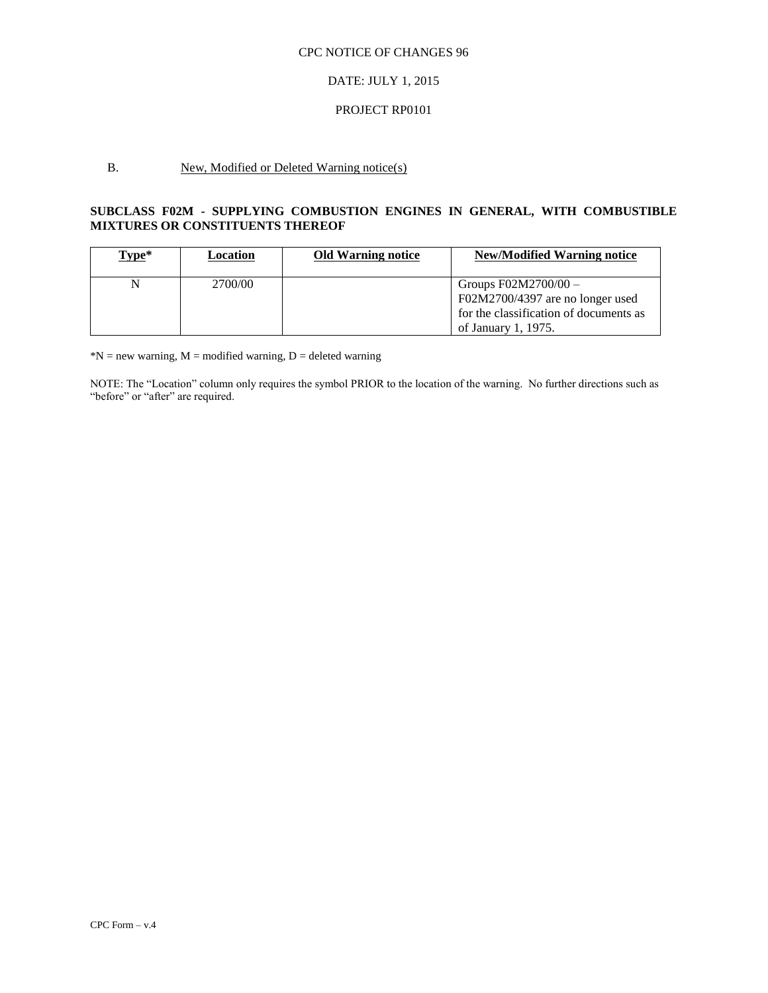## DATE: JULY 1, 2015

## PROJECT RP0101

## B. New, Modified or Deleted Warning notice(s)

## **SUBCLASS F02M - SUPPLYING COMBUSTION ENGINES IN GENERAL, WITH COMBUSTIBLE MIXTURES OR CONSTITUENTS THEREOF**

| Type* | Location | <b>Old Warning notice</b> | <b>New/Modified Warning notice</b>                                                                                          |
|-------|----------|---------------------------|-----------------------------------------------------------------------------------------------------------------------------|
|       | 2700/00  |                           | Groups $F02M2700/00 -$<br>F02M2700/4397 are no longer used<br>for the classification of documents as<br>of January 1, 1975. |

 $N = new warning, M = modified warning, D = deleted warning$ 

NOTE: The "Location" column only requires the symbol PRIOR to the location of the warning. No further directions such as "before" or "after" are required.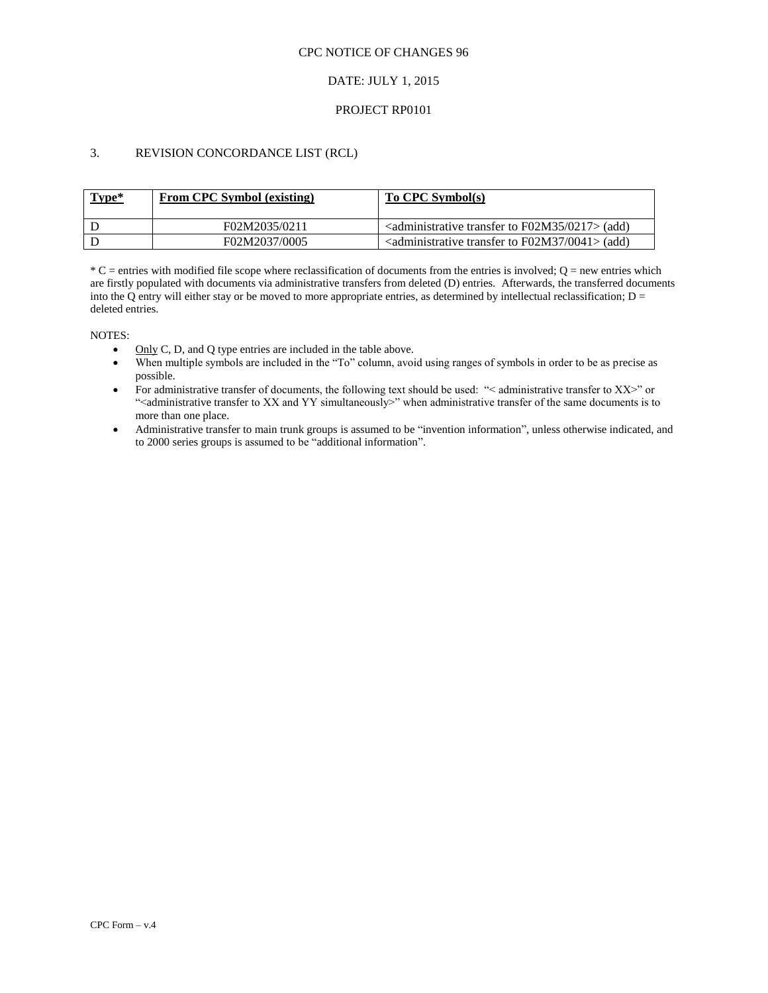## DATE: JULY 1, 2015

## PROJECT RP0101

## 3. REVISION CONCORDANCE LIST (RCL)

| Type* | <b>From CPC Symbol (existing)</b> | To CPC Symbol(s)                                                                     |
|-------|-----------------------------------|--------------------------------------------------------------------------------------|
|       | F02M2035/0211                     | $\alpha$ <administrative 0217="" f02m35="" to="" transfer=""> (add)</administrative> |
|       | F02M2037/0005                     | $\alpha$ <administrative 0041="" f02m37="" to="" transfer=""> (add)</administrative> |

 $*C$  = entries with modified file scope where reclassification of documents from the entries is involved;  $Q$  = new entries which are firstly populated with documents via administrative transfers from deleted (D) entries. Afterwards, the transferred documents into the Q entry will either stay or be moved to more appropriate entries, as determined by intellectual reclassification;  $D =$ deleted entries.

NOTES:

- $\bullet$  Only C, D, and Q type entries are included in the table above.
- When multiple symbols are included in the "To" column, avoid using ranges of symbols in order to be as precise as possible.
- For administrative transfer of documents, the following text should be used: "< administrative transfer to XX>" or ">
"<administrative transfer to XX and YY simultaneously>" when administrative transfer of the same documents is to more than one place.
- Administrative transfer to main trunk groups is assumed to be "invention information", unless otherwise indicated, and to 2000 series groups is assumed to be "additional information".